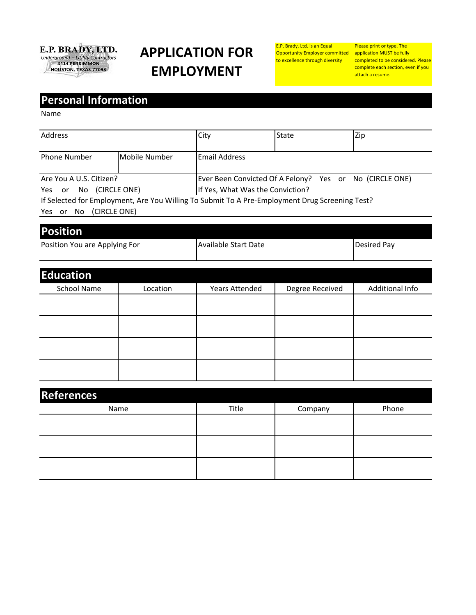

## **APPLICATION FOR EMPLOYMENT**

E.P. Brady, Ltd. is an Equal Opportunity Employer committed to excellence through diversity

Please print or type. The application MUST be fully completed to be considered. Please complete each section, even if you attach a resume.

## **Personal Information**

Name

| Address                                                                                                                            |               | City                                                                                        | <b>State</b> | Zip |
|------------------------------------------------------------------------------------------------------------------------------------|---------------|---------------------------------------------------------------------------------------------|--------------|-----|
| <b>Phone Number</b>                                                                                                                | Mobile Number | Email Address                                                                               |              |     |
| Are You A U.S. Citizen?<br>Yes or No (CIRCLE ONE)                                                                                  |               | Ever Been Convicted Of A Felony? Yes or No (CIRCLE ONE)<br>If Yes, What Was the Conviction? |              |     |
| If Selected for Employment, Are You Willing To Submit To A Pre-Employment Drug Screening Test?<br>(CIRCLE ONE)<br>Yes<br>No.<br>or |               |                                                                                             |              |     |

| <b>Position</b>               |                      |             |
|-------------------------------|----------------------|-------------|
| Position You are Applying For | Available Start Date | Desired Pay |

| <b>Education</b> |          |                       |                 |                 |
|------------------|----------|-----------------------|-----------------|-----------------|
| School Name      | Location | <b>Years Attended</b> | Degree Received | Additional Info |
|                  |          |                       |                 |                 |
|                  |          |                       |                 |                 |
|                  |          |                       |                 |                 |
|                  |          |                       |                 |                 |

| <b>References</b> |       |         |       |
|-------------------|-------|---------|-------|
| Name              | Title | Company | Phone |
|                   |       |         |       |
|                   |       |         |       |
|                   |       |         |       |
|                   |       |         |       |
|                   |       |         |       |
|                   |       |         |       |